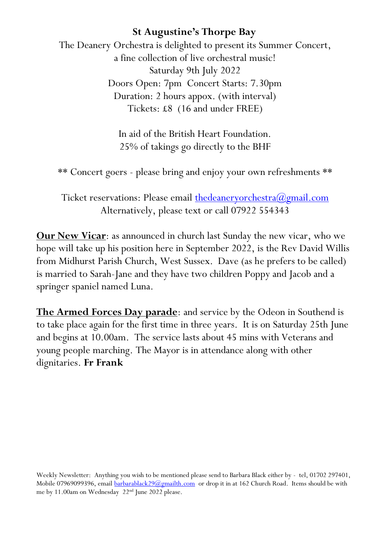The Deanery Orchestra is delighted to present its Summer Concert, a fine collection of live orchestral music! Saturday 9th July 2022 Doors Open: 7pm Concert Starts: 7.30pm Duration: 2 hours appox. (with interval) Tickets: £8 (16 and under FREE)

> In aid of the British Heart Foundation. 25% of takings go directly to the BHF

\*\* Concert goers - please bring and enjoy your own refreshments \*\*

Ticket reservations: Please email the deanery orchestra  $\omega$ gmail.com Alternatively, please text or call 07922 554343

**Our New Vicar**: as announced in church last Sunday the new vicar, who we hope will take up his position here in September 2022, is the Rev David Willis from Midhurst Parish Church, West Sussex. Dave (as he prefers to be called) is married to Sarah-Jane and they have two children Poppy and Jacob and a springer spaniel named Luna.

**The Armed Forces Day parade**: and service by the Odeon in Southend is to take place again for the first time in three years. It is on Saturday 25th June and begins at 10.00am. The service lasts about 45 mins with Veterans and young people marching. The Mayor is in attendance along with other dignitaries. **Fr Frank**

Weekly Newsletter: Anything you wish to be mentioned please send to Barbara Black either by - tel, 01702 297401, Mobile 07969099396, emai[l barbarablack29@gmailth.com](mailto:barbarablack29@gmailth.com) or drop it in at 162 Church Road. Items should be with me by 11.00am on Wednesday 22nd June 2022 please.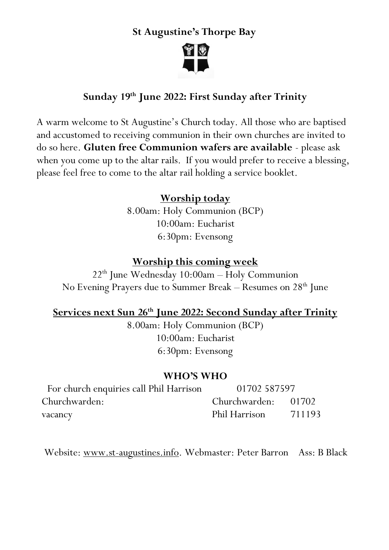

# **Sunday 19th June 2022: First Sunday after Trinity**

A warm welcome to St Augustine's Church today. All those who are baptised and accustomed to receiving communion in their own churches are invited to do so here. **Gluten free Communion wafers are available** - please ask when you come up to the altar rails. If you would prefer to receive a blessing, please feel free to come to the altar rail holding a service booklet.

### **Worship today**

8.00am: Holy Communion (BCP) 10:00am: Eucharist 6:30pm: Evensong

#### **Worship this coming week**

 $22<sup>th</sup>$  June Wednesday  $10:00$ am – Holy Communion No Evening Prayers due to Summer Break – Resumes on 28<sup>th</sup> June

### **Services next Sun 26th June 2022: Second Sunday after Trinity**

8.00am: Holy Communion (BCP) 10:00am: Eucharist 6:30pm: Evensong

#### **WHO'S WHO**

| For church enquiries call Phil Harrison | 01702 587597        |        |
|-----------------------------------------|---------------------|--------|
| Churchwarden:                           | Churchwarden: 01702 |        |
| vacancy                                 | Phil Harrison       | 711193 |

Website: [www.st-augustines.info.](http://www.st-augustines.info/) Webmaster: Peter Barron Ass: B Black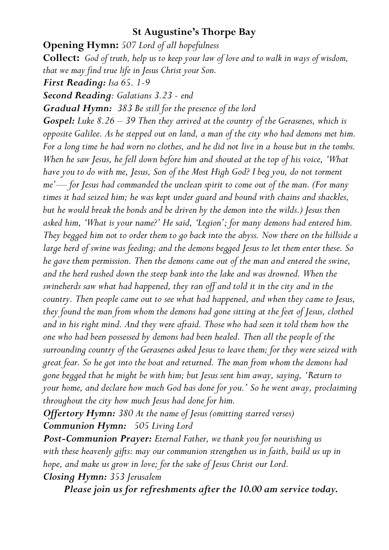**Opening Hymn:** *507 Lord of all hopefulness* **Collect:** *God of truth, help us to keep your law of love and to walk in ways of wisdom, that we may find true life in Jesus Christ your Son. First Reading: Isa 65. 1-9 Second Reading: Galatians 3.23 - end Gradual Hymn: 383 Be still for the presence of the lord Gospel: Luke 8.26 – 39 Then they arrived at the country of the Gerasenes, which is opposite Galilee. As he stepped out on land, a man of the city who had demons met him. For a long time he had worn no clothes, and he did not live in a house but in the tombs. When he saw Jesus, he fell down before him and shouted at the top of his voice, 'What have you to do with me, Jesus, Son of the Most High God? I beg you, do not torment me'— for Jesus had commanded the unclean spirit to come out of the man. (For many times it had seized him; he was kept under guard and bound with chains and shackles, but he would break the bonds and be driven by the demon into the wilds.) Jesus then asked him, 'What is your name?' He said, 'Legion'; for many demons had entered him. They begged him not to order them to go back into the abyss. Now there on the hillside a large herd of swine was feeding; and the demons begged Jesus to let them enter these. So he gave them permission. Then the demons came out of the man and entered the swine, and the herd rushed down the steep bank into the lake and was drowned. When the swineherds saw what had happened, they ran off and told it in the city and in the country. Then people came out to see what had happened, and when they came to Jesus, they found the man from whom the demons had gone sitting at the feet of Jesus, clothed and in his right mind. And they were afraid. Those who had seen it told them how the one who had been possessed by demons had been healed. Then all the people of the surrounding country of the Gerasenes asked Jesus to leave them; for they were seized with great fear. So he got into the boat and returned. The man from whom the demons had gone begged that he might be with him; but Jesus sent him away, saying, 'Return to your home, and declare how much God has done for you.' So he went away, proclaiming throughout the city how much Jesus had done for him.*

*Offertory Hymn: 380 At the name of Jesus (omitting starred verses) Communion Hymn: 505 Living Lord*

*Post-Communion Prayer: Eternal Father, we thank you for nourishing us* with these heavenly gifts: may our communion strengthen us in faith, build us up in *hope, and make us grow in love; for the sake of Jesus Christ our Lord.*

*Closing Hymn: 353 Jerusalem*

*Please join us for refreshments after the 10.00 am service today.*